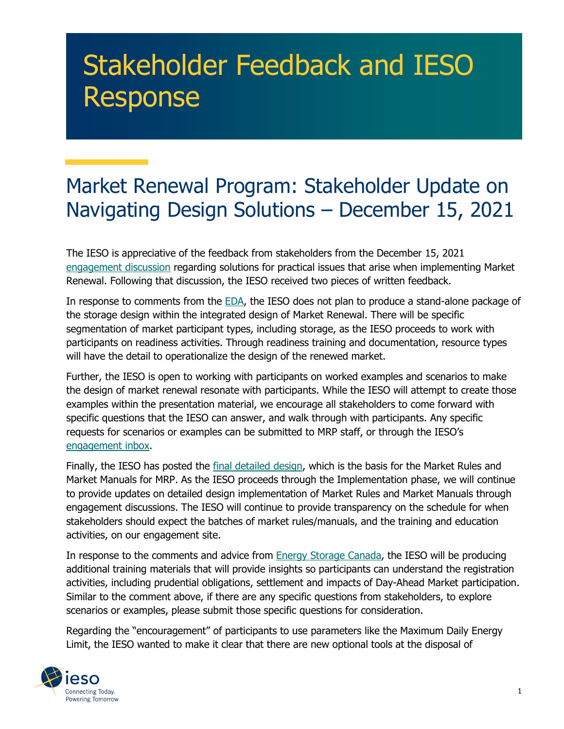## Stakeholder Feedback and IESO Response

## Market Renewal Program: Stakeholder Update on Navigating Design Solutions – December 15, 2021

The IESO is appreciative of the feedback from stakeholders from the December 15, 2021 [engagement discussion](https://www.ieso.ca/-/media/Files/IESO/Document-Library/engage/imrm/imrm-20211215-presentation.ashx) regarding solutions for practical issues that arise when implementing Market Renewal. Following that discussion, the IESO received two pieces of written feedback.

In response to comments from the [EDA,](https://www.ieso.ca/-/media/Files/IESO/Document-Library/engage/imrm/imrm-20220114-electricity-distributors-association.ashx) the IESO does not plan to produce a stand-alone package of the storage design within the integrated design of Market Renewal. There will be specific segmentation of market participant types, including storage, as the IESO proceeds to work with participants on readiness activities. Through readiness training and documentation, resource types will have the detail to operationalize the design of the renewed market.

Further, the IESO is open to working with participants on worked examples and scenarios to make the design of market renewal resonate with participants. While the IESO will attempt to create those examples within the presentation material, we encourage all stakeholders to come forward with specific questions that the IESO can answer, and walk through with participants. Any specific requests for scenarios or examples can be submitted to MRP staff, or through the IESO's [engagement inbox.](mailto:engagement@ieso.ca?subject=Market%20Renewal%20-%20Scenarios)

Finally, the IESO has posted the [final detailed design,](https://www.ieso.ca/en/Market-Renewal/Energy-Stream-Designs/Detailed-Design) which is the basis for the Market Rules and Market Manuals for MRP. As the IESO proceeds through the Implementation phase, we will continue to provide updates on detailed design implementation of Market Rules and Market Manuals through engagement discussions. The IESO will continue to provide transparency on the schedule for when stakeholders should expect the batches of market rules/manuals, and the training and education activities, on our engagement site.

In response to the comments and advice from [Energy Storage Canada,](https://www.ieso.ca/-/media/Files/IESO/Document-Library/engage/imrm/imrm-20220114-energy-storage-canada.ashx) the IESO will be producing additional training materials that will provide insights so participants can understand the registration activities, including prudential obligations, settlement and impacts of Day-Ahead Market participation. Similar to the comment above, if there are any specific questions from stakeholders, to explore scenarios or examples, please submit those specific questions for consideration.

Regarding the "encouragement" of participants to use parameters like the Maximum Daily Energy Limit, the IESO wanted to make it clear that there are new optional tools at the disposal of